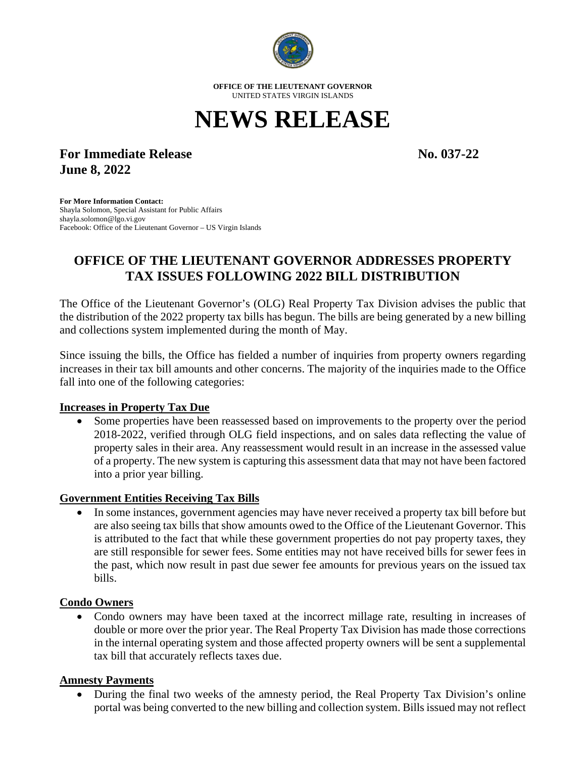

**OFFICE OF THE LIEUTENANT GOVERNOR** UNITED STATES VIRGIN ISLANDS

# **NEWS RELEASE**

# **For Immediate Release No. 037-22 June 8, 2022**

**For More Information Contact:** Shayla Solomon, Special Assistant for Public Affairs shayla.solomon@lgo.vi.gov Facebook: Office of the Lieutenant Governor – US Virgin Islands

# **OFFICE OF THE LIEUTENANT GOVERNOR ADDRESSES PROPERTY TAX ISSUES FOLLOWING 2022 BILL DISTRIBUTION**

The Office of the Lieutenant Governor's (OLG) Real Property Tax Division advises the public that the distribution of the 2022 property tax bills has begun. The bills are being generated by a new billing and collections system implemented during the month of May.

Since issuing the bills, the Office has fielded a number of inquiries from property owners regarding increases in their tax bill amounts and other concerns. The majority of the inquiries made to the Office fall into one of the following categories:

# **Increases in Property Tax Due**

• Some properties have been reassessed based on improvements to the property over the period 2018-2022, verified through OLG field inspections, and on sales data reflecting the value of property sales in their area. Any reassessment would result in an increase in the assessed value of a property. The new system is capturing this assessment data that may not have been factored into a prior year billing.

#### **Government Entities Receiving Tax Bills**

• In some instances, government agencies may have never received a property tax bill before but are also seeing tax bills that show amounts owed to the Office of the Lieutenant Governor. This is attributed to the fact that while these government properties do not pay property taxes, they are still responsible for sewer fees. Some entities may not have received bills for sewer fees in the past, which now result in past due sewer fee amounts for previous years on the issued tax bills.

# **Condo Owners**

• Condo owners may have been taxed at the incorrect millage rate, resulting in increases of double or more over the prior year. The Real Property Tax Division has made those corrections in the internal operating system and those affected property owners will be sent a supplemental tax bill that accurately reflects taxes due.

# **Amnesty Payments**

• During the final two weeks of the amnesty period, the Real Property Tax Division's online portal was being converted to the new billing and collection system. Bills issued may not reflect